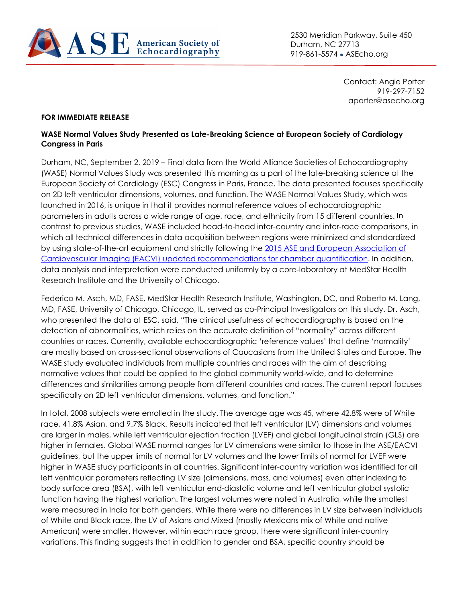

2530 Meridian Parkway, Suite 450 Durham, NC 27713 919-861-5574 • ASEcho.org

> Contact: Angie Porter 919-297-7152 aporter@asecho.org

## **FOR IMMEDIATE RELEASE**

## **WASE Normal Values Study Presented as Late-Breaking Science at European Society of Cardiology Congress in Paris**

Durham, NC, September 2, 2019 – Final data from the World Alliance Societies of Echocardiography (WASE) Normal Values Study was presented this morning as a part of the late-breaking science at the European Society of Cardiology (ESC) Congress in Paris, France. The data presented focuses specifically on 2D left ventricular dimensions, volumes, and function. The WASE Normal Values Study, which was launched in 2016, is unique in that it provides normal reference values of echocardiographic parameters in adults across a wide range of age, race, and ethnicity from 15 different countries. In contrast to previous studies, WASE included head-to-head inter-country and inter-race comparisons, in which all technical differences in data acquisition between regions were minimized and standardized by using state-of-the-art equipment and strictly following the 2015 ASE [and European Association of](https://www.asecho.org/wp-content/uploads/2016/02/2015_ChamberQuantificationREV.pdf)  [Cardiovascular Imaging \(EACVI\) updated recommendations for chamber quantification.](https://www.asecho.org/wp-content/uploads/2016/02/2015_ChamberQuantificationREV.pdf) In addition, data analysis and interpretation were conducted uniformly by a core-laboratory at MedStar Health Research Institute and the University of Chicago.

Federico M. Asch, MD, FASE, MedStar Health Research Institute, Washington, DC, and Roberto M. Lang, MD, FASE, University of Chicago, Chicago, IL, served as co-Principal Investigators on this study. Dr. Asch, who presented the data at ESC, said, "The clinical usefulness of echocardiography is based on the detection of abnormalities, which relies on the accurate definition of "normality" across different countries or races. Currently, available echocardiographic 'reference values' that define 'normality' are mostly based on cross-sectional observations of Caucasians from the United States and Europe. The WASE study evaluated individuals from multiple countries and races with the aim of describing normative values that could be applied to the global community world-wide, and to determine differences and similarities among people from different countries and races. The current report focuses specifically on 2D left ventricular dimensions, volumes, and function."

In total, 2008 subjects were enrolled in the study. The average age was 45, where 42.8% were of White race, 41.8% Asian, and 9.7% Black. Results indicated that left ventricular (LV) dimensions and volumes are larger in males, while left ventricular ejection fraction (LVEF) and global longitudinal strain (GLS) are higher in females. Global WASE normal ranges for LV dimensions were similar to those in the ASE/EACVI guidelines, but the upper limits of normal for LV volumes and the lower limits of normal for LVEF were higher in WASE study participants in all countries. Significant inter-country variation was identified for all left ventricular parameters reflecting LV size (dimensions, mass, and volumes) even after indexing to body surface area (BSA), with left ventricular end-diastolic volume and left ventricular global systolic function having the highest variation. The largest volumes were noted in Australia, while the smallest were measured in India for both genders. While there were no differences in LV size between individuals of White and Black race, the LV of Asians and Mixed (mostly Mexicans mix of White and native American) were smaller. However, within each race group, there were significant inter-country variations. This finding suggests that in addition to gender and BSA, specific country should be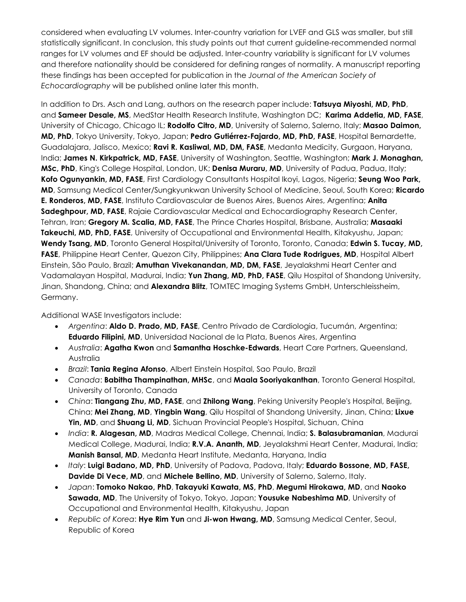considered when evaluating LV volumes. Inter-country variation for LVEF and GLS was smaller, but still statistically significant. In conclusion, this study points out that current guideline-recommended normal ranges for LV volumes and EF should be adjusted. Inter-country variability is significant for LV volumes and therefore nationality should be considered for defining ranges of normality. A manuscript reporting these findings has been accepted for publication in the *Journal of the American Society of Echocardiography* will be published online later this month.

In addition to Drs. Asch and Lang, authors on the research paper include: **Tatsuya Miyoshi, MD, PhD**, and **Sameer Desale, MS**, MedStar Health Research Institute, Washington DC; **Karima Addetia, MD, FASE**, University of Chicago, Chicago IL; **Rodolfo Citro, MD**, University of Salerno, Salerno, Italy; **Masao Daimon, MD, PhD**, Tokyo University, Tokyo, Japan; **Pedro Gutiérrez-Fajardo, MD, PhD, FASE**, Hospital Bernardette, Guadalajara, Jalisco, Mexico; **Ravi R. Kasliwal, MD, DM, FASE**, Medanta Medicity, Gurgaon, Haryana, India; **James N. Kirkpatrick, MD, FASE**, University of Washington, Seattle, Washington; **Mark J. Monaghan, MSc, PhD**, King's College Hospital, London, UK; **Denisa Muraru, MD**, University of Padua, Padua, Italy; **Kofo Ogunyankin, MD, FASE**, First Cardiology Consultants Hospital Ikoyi, Lagos, Nigeria; **Seung Woo Park, MD**, Samsung Medical Center/Sungkyunkwan University School of Medicine, Seoul, South Korea; **Ricardo E. Ronderos, MD, FASE**, Instituto Cardiovascular de Buenos Aires, Buenos Aires, Argentina; **Anita Sadeghpour, MD, FASE**, Rajaie Cardiovascular Medical and Echocardiography Research Center, Tehran, Iran; **Gregory M. Scalia, MD, FASE**, The Prince Charles Hospital, Brisbane, Australia; **Masaaki Takeuchi, MD, PhD, FASE**, University of Occupational and Environmental Health, Kitakyushu, Japan; **Wendy Tsang, MD**, Toronto General Hospital/University of Toronto, Toronto, Canada; **Edwin S. Tucay, MD, FASE**, Philippine Heart Center, Quezon City, Philippines; **Ana Clara Tude Rodrigues, MD**, Hospital Albert Einstein, São Paulo, Brazil; **Amuthan Vivekanandan, MD, DM, FASE**, Jeyalakshmi Heart Center and Vadamalayan Hospital, Madurai, India; **Yun Zhang, MD, PhD, FASE**, Qilu Hospital of Shandong University, Jinan, Shandong, China; and **Alexandra Blitz**, TOMTEC Imaging Systems GmbH, Unterschleissheim, Germany.

Additional WASE Investigators include:

- *Argentina*: **Aldo D. Prado, MD, FASE**, Centro Privado de Cardiologia, Tucumán, Argentina; **Eduardo Filipini, MD**, Universidad Nacional de la Plata, Buenos Aires, Argentina
- *Australia*: **Agatha Kwon** and **Samantha Hoschke-Edwards**, Heart Care Partners, Queensland, Australia
- *Brazil*: **Tania Regina Afonso**, Albert Einstein Hospital, Sao Paulo, Brazil
- *Canada*: **Babitha Thampinathan, MHSc**, and **Maala Sooriyakanthan**, Toronto General Hospital, University of Toronto, Canada
- *China*: **Tiangang Zhu, MD, FASE**, and **Zhilong Wang**, Peking University People's Hospital, Beijing, China; **Mei Zhang, MD**, **Yingbin Wang**, Qilu Hospital of Shandong University, Jinan, China; **Lixue Yin, MD**, and **Shuang Li, MD**, Sichuan Provincial People's Hospital, Sichuan, China
- *India*: **R. Alagesan, MD**, Madras Medical College, Chennai, India; **S. Balasubramanian**, Madurai Medical College, Madurai, India; **R.V.A. Ananth, MD**, Jeyalakshmi Heart Center, Madurai, India; **Manish Bansal, MD**, Medanta Heart Institute, Medanta, Haryana, India
- *Italy*: **Luigi Badano, MD, PhD**, University of Padova, Padova, Italy; **Eduardo Bossone, MD, FASE, Davide Di Vece, MD**, and **Michele Bellino, MD**, University of Salerno, Salerno, Italy.
- *Japan*: **Tomoko Nakao, PhD**, **Takayuki Kawata, MS, PhD**, **Megumi Hirokawa, MD**, and **Naoko Sawada, MD**, The University of Tokyo, Tokyo, Japan; **Yousuke Nabeshima MD**, University of Occupational and Environmental Health, Kitakyushu, Japan
- *Republic of Korea*: **Hye Rim Yun** and **Ji-won Hwang, MD**, Samsung Medical Center, Seoul, Republic of Korea